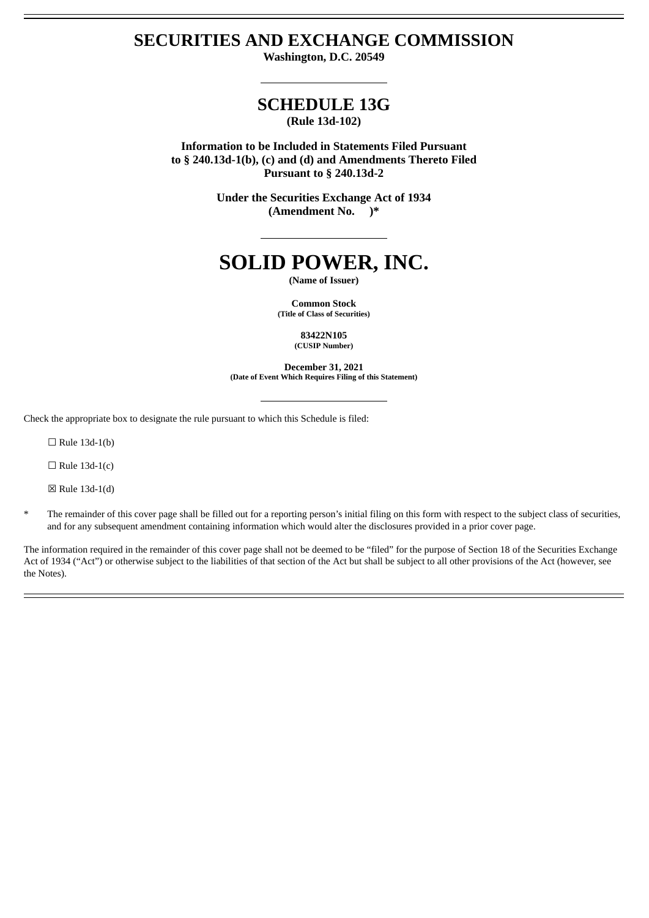# **SECURITIES AND EXCHANGE COMMISSION**

**Washington, D.C. 20549**

# **SCHEDULE 13G (Rule 13d-102)**

**Information to be Included in Statements Filed Pursuant to § 240.13d-1(b), (c) and (d) and Amendments Thereto Filed Pursuant to § 240.13d-2**

> **Under the Securities Exchange Act of 1934 (Amendment No. )\***

# **SOLID POWER, INC.**

**(Name of Issuer)**

**Common Stock (Title of Class of Securities)**

> **83422N105 (CUSIP Number)**

**December 31, 2021 (Date of Event Which Requires Filing of this Statement)**

Check the appropriate box to designate the rule pursuant to which this Schedule is filed:

 $\Box$  Rule 13d-1(b)

 $\Box$  Rule 13d-1(c)

☒ Rule 13d-1(d)

\* The remainder of this cover page shall be filled out for a reporting person's initial filing on this form with respect to the subject class of securities, and for any subsequent amendment containing information which would alter the disclosures provided in a prior cover page.

The information required in the remainder of this cover page shall not be deemed to be "filed" for the purpose of Section 18 of the Securities Exchange Act of 1934 ("Act") or otherwise subject to the liabilities of that section of the Act but shall be subject to all other provisions of the Act (however, see the Notes).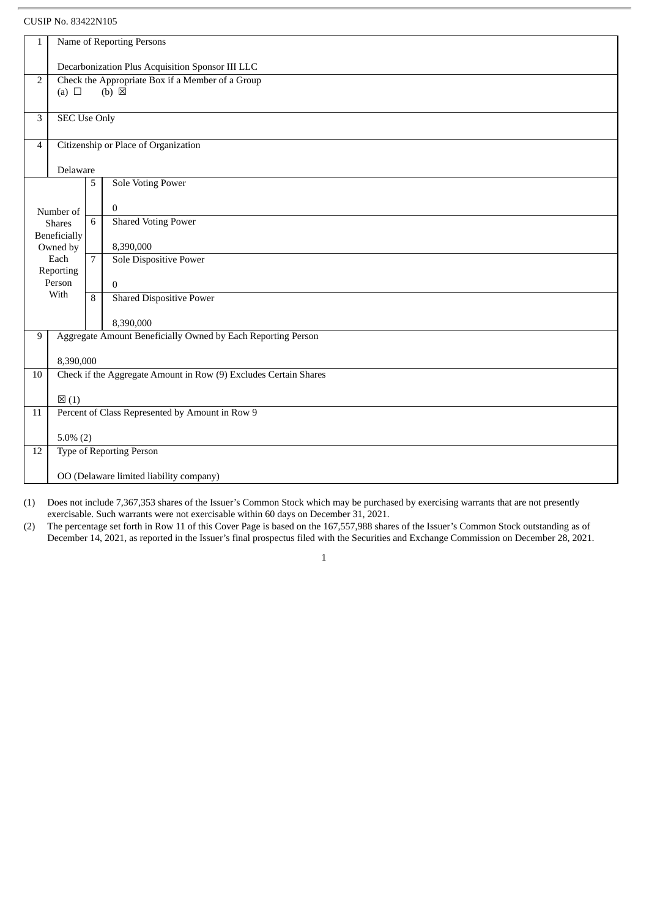| $\mathbf{1}$                                                       | Name of Reporting Persons                        |                                      |                                                                  |  |  |
|--------------------------------------------------------------------|--------------------------------------------------|--------------------------------------|------------------------------------------------------------------|--|--|
|                                                                    |                                                  |                                      |                                                                  |  |  |
|                                                                    | Decarbonization Plus Acquisition Sponsor III LLC |                                      |                                                                  |  |  |
| Check the Appropriate Box if a Member of a Group<br>$\overline{2}$ |                                                  |                                      |                                                                  |  |  |
|                                                                    | (a) $\Box$<br>$(b) \boxtimes$                    |                                      |                                                                  |  |  |
| 3                                                                  | <b>SEC Use Only</b>                              |                                      |                                                                  |  |  |
|                                                                    |                                                  |                                      |                                                                  |  |  |
| 4                                                                  |                                                  | Citizenship or Place of Organization |                                                                  |  |  |
|                                                                    | Delaware                                         |                                      |                                                                  |  |  |
|                                                                    |                                                  | 5                                    | <b>Sole Voting Power</b>                                         |  |  |
|                                                                    |                                                  |                                      |                                                                  |  |  |
|                                                                    | Number of                                        |                                      | $\mathbf{0}$                                                     |  |  |
|                                                                    | <b>Shares</b>                                    | 6                                    | <b>Shared Voting Power</b>                                       |  |  |
|                                                                    | Beneficially<br>Owned by                         |                                      | 8,390,000                                                        |  |  |
|                                                                    | Each                                             | $\overline{7}$                       | <b>Sole Dispositive Power</b>                                    |  |  |
|                                                                    | Reporting                                        |                                      |                                                                  |  |  |
|                                                                    | Person<br>With                                   |                                      | $\Omega$                                                         |  |  |
|                                                                    |                                                  | $\mathsf{R}$                         | <b>Shared Dispositive Power</b>                                  |  |  |
|                                                                    |                                                  |                                      | 8,390,000                                                        |  |  |
| 9                                                                  |                                                  |                                      | Aggregate Amount Beneficially Owned by Each Reporting Person     |  |  |
|                                                                    |                                                  |                                      |                                                                  |  |  |
| 10                                                                 | 8,390,000                                        |                                      | Check if the Aggregate Amount in Row (9) Excludes Certain Shares |  |  |
|                                                                    |                                                  |                                      |                                                                  |  |  |
|                                                                    | $\boxtimes$ (1)                                  |                                      |                                                                  |  |  |
| 11                                                                 |                                                  |                                      | Percent of Class Represented by Amount in Row 9                  |  |  |
|                                                                    |                                                  |                                      |                                                                  |  |  |
| 12                                                                 | $5.0\%$ (2)<br><b>Type of Reporting Person</b>   |                                      |                                                                  |  |  |
|                                                                    |                                                  |                                      |                                                                  |  |  |
|                                                                    | OO (Delaware limited liability company)          |                                      |                                                                  |  |  |

(1) Does not include 7,367,353 shares of the Issuer's Common Stock which may be purchased by exercising warrants that are not presently exercisable. Such warrants were not exercisable within 60 days on December 31, 2021.

(2) The percentage set forth in Row 11 of this Cover Page is based on the 167,557,988 shares of the Issuer's Common Stock outstanding as of December 14, 2021, as reported in the Issuer's final prospectus filed with the Securities and Exchange Commission on December 28, 2021.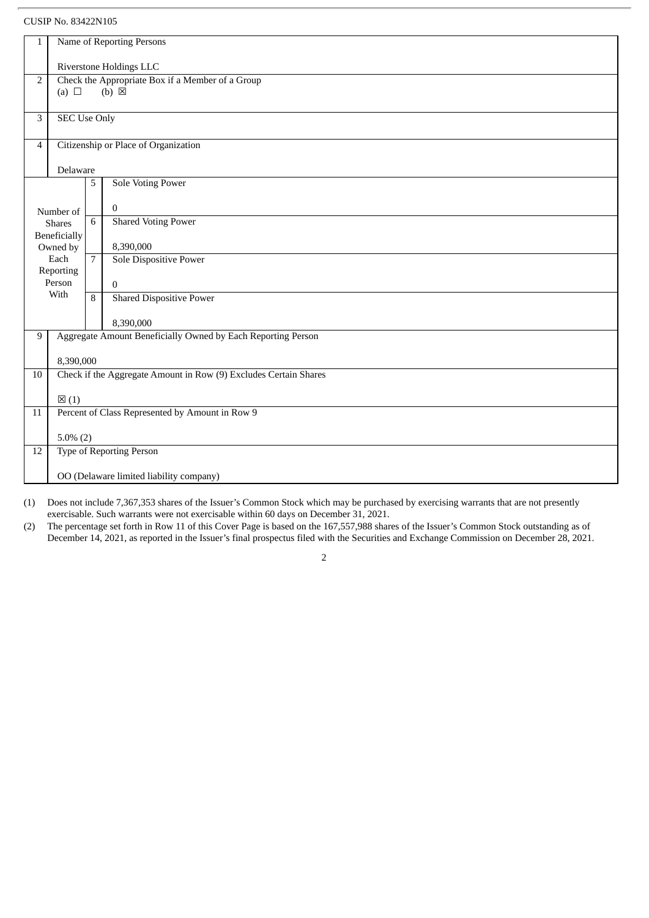| $\mathbf{1}$                                                       | Name of Reporting Persons               |                                      |                                                                  |  |  |  |
|--------------------------------------------------------------------|-----------------------------------------|--------------------------------------|------------------------------------------------------------------|--|--|--|
|                                                                    |                                         |                                      |                                                                  |  |  |  |
|                                                                    | Riverstone Holdings LLC                 |                                      |                                                                  |  |  |  |
| Check the Appropriate Box if a Member of a Group<br>$\overline{2}$ |                                         |                                      |                                                                  |  |  |  |
|                                                                    | $(b) \boxtimes$<br>(a) $\Box$           |                                      |                                                                  |  |  |  |
|                                                                    |                                         |                                      |                                                                  |  |  |  |
| 3                                                                  | <b>SEC Use Only</b>                     |                                      |                                                                  |  |  |  |
|                                                                    |                                         |                                      |                                                                  |  |  |  |
| 4                                                                  |                                         | Citizenship or Place of Organization |                                                                  |  |  |  |
|                                                                    |                                         |                                      |                                                                  |  |  |  |
|                                                                    | Delaware                                |                                      |                                                                  |  |  |  |
|                                                                    |                                         | 5                                    | <b>Sole Voting Power</b>                                         |  |  |  |
|                                                                    |                                         |                                      |                                                                  |  |  |  |
|                                                                    | Number of                               |                                      | $\mathbf{0}$                                                     |  |  |  |
|                                                                    | <b>Shares</b>                           | 6                                    | <b>Shared Voting Power</b>                                       |  |  |  |
|                                                                    | Beneficially                            |                                      |                                                                  |  |  |  |
|                                                                    | Owned by                                |                                      | 8,390,000                                                        |  |  |  |
|                                                                    | Each                                    | $\overline{7}$                       | Sole Dispositive Power                                           |  |  |  |
|                                                                    | Reporting                               |                                      |                                                                  |  |  |  |
|                                                                    | Person                                  |                                      | $\Omega$                                                         |  |  |  |
|                                                                    | With                                    | 8                                    | <b>Shared Dispositive Power</b>                                  |  |  |  |
|                                                                    |                                         |                                      |                                                                  |  |  |  |
|                                                                    |                                         |                                      | 8,390,000                                                        |  |  |  |
| 9                                                                  |                                         |                                      | Aggregate Amount Beneficially Owned by Each Reporting Person     |  |  |  |
|                                                                    |                                         |                                      |                                                                  |  |  |  |
|                                                                    | 8,390,000                               |                                      |                                                                  |  |  |  |
| 10                                                                 |                                         |                                      | Check if the Aggregate Amount in Row (9) Excludes Certain Shares |  |  |  |
|                                                                    |                                         |                                      |                                                                  |  |  |  |
|                                                                    | $\boxtimes$ (1)                         |                                      |                                                                  |  |  |  |
| 11                                                                 |                                         |                                      | Percent of Class Represented by Amount in Row 9                  |  |  |  |
|                                                                    |                                         |                                      |                                                                  |  |  |  |
|                                                                    | $5.0\%$ (2)                             |                                      |                                                                  |  |  |  |
| 12                                                                 |                                         |                                      | <b>Type of Reporting Person</b>                                  |  |  |  |
|                                                                    |                                         |                                      |                                                                  |  |  |  |
|                                                                    | OO (Delaware limited liability company) |                                      |                                                                  |  |  |  |

(1) Does not include 7,367,353 shares of the Issuer's Common Stock which may be purchased by exercising warrants that are not presently exercisable. Such warrants were not exercisable within 60 days on December 31, 2021.

(2) The percentage set forth in Row 11 of this Cover Page is based on the 167,557,988 shares of the Issuer's Common Stock outstanding as of December 14, 2021, as reported in the Issuer's final prospectus filed with the Securities and Exchange Commission on December 28, 2021.

 $\overline{2}$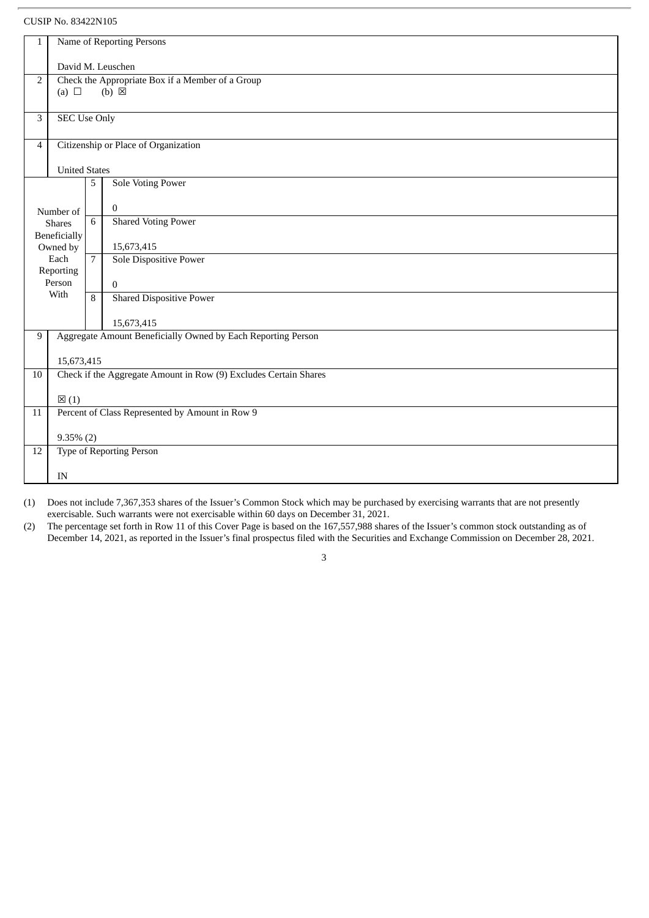| $\mathbf 1$     | Name of Reporting Persons                        |                |                                                                  |  |  |  |
|-----------------|--------------------------------------------------|----------------|------------------------------------------------------------------|--|--|--|
|                 | David M. Leuschen                                |                |                                                                  |  |  |  |
| 2               | Check the Appropriate Box if a Member of a Group |                |                                                                  |  |  |  |
|                 | $(b) \boxtimes$<br>(a) $\Box$                    |                |                                                                  |  |  |  |
| 3               | <b>SEC Use Only</b>                              |                |                                                                  |  |  |  |
| 4               |                                                  |                | Citizenship or Place of Organization                             |  |  |  |
|                 | <b>United States</b>                             |                |                                                                  |  |  |  |
|                 |                                                  | 5              | <b>Sole Voting Power</b>                                         |  |  |  |
|                 | Number of                                        |                | $\bf{0}$                                                         |  |  |  |
|                 | <b>Shares</b>                                    | 6              | <b>Shared Voting Power</b>                                       |  |  |  |
|                 | Beneficially<br>Owned by                         |                | 15,673,415                                                       |  |  |  |
|                 | Each<br>Reporting                                | $\overline{7}$ | Sole Dispositive Power                                           |  |  |  |
|                 | Person                                           |                | $\mathbf{0}$                                                     |  |  |  |
|                 | With                                             | 8              | <b>Shared Dispositive Power</b>                                  |  |  |  |
|                 |                                                  |                | 15,673,415                                                       |  |  |  |
| 9               |                                                  |                | Aggregate Amount Beneficially Owned by Each Reporting Person     |  |  |  |
|                 | 15,673,415                                       |                |                                                                  |  |  |  |
| 10              |                                                  |                | Check if the Aggregate Amount in Row (9) Excludes Certain Shares |  |  |  |
|                 | $\boxtimes$ (1)                                  |                |                                                                  |  |  |  |
| $\overline{11}$ |                                                  |                | Percent of Class Represented by Amount in Row 9                  |  |  |  |
|                 | $9.35\%$ (2)                                     |                |                                                                  |  |  |  |
| 12              |                                                  |                | <b>Type of Reporting Person</b>                                  |  |  |  |
|                 | IN                                               |                |                                                                  |  |  |  |
|                 |                                                  |                |                                                                  |  |  |  |

(1) Does not include 7,367,353 shares of the Issuer's Common Stock which may be purchased by exercising warrants that are not presently exercisable. Such warrants were not exercisable within 60 days on December 31, 2021.

(2) The percentage set forth in Row 11 of this Cover Page is based on the 167,557,988 shares of the Issuer's common stock outstanding as of December 14, 2021, as reported in the Issuer's final prospectus filed with the Securities and Exchange Commission on December 28, 2021.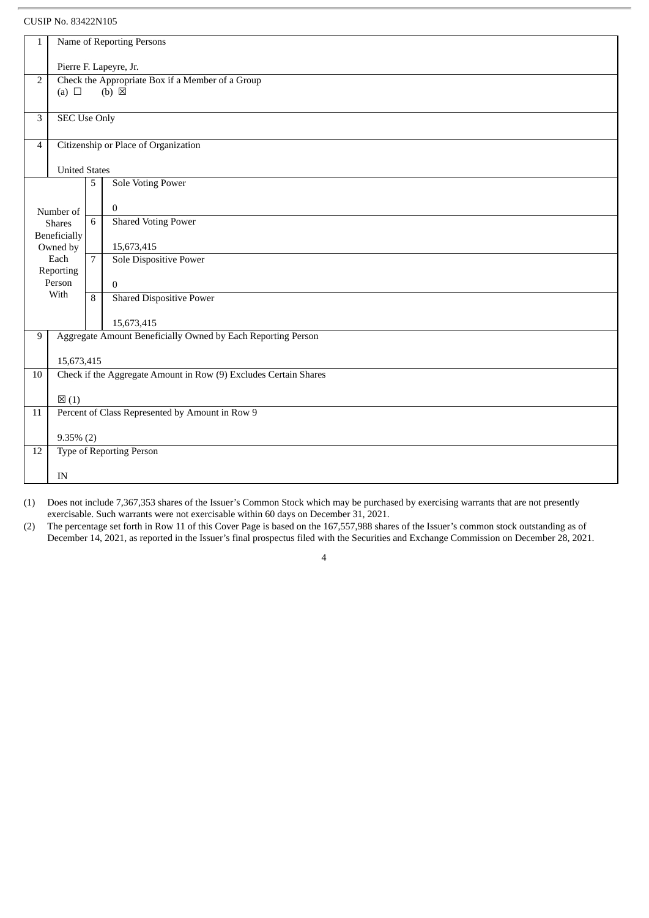| $\mathbf 1$    | Name of Reporting Persons                        |                                      |                                                                  |  |  |  |
|----------------|--------------------------------------------------|--------------------------------------|------------------------------------------------------------------|--|--|--|
|                | Pierre F. Lapeyre, Jr.                           |                                      |                                                                  |  |  |  |
| 2              | Check the Appropriate Box if a Member of a Group |                                      |                                                                  |  |  |  |
|                | $(b) \boxtimes$<br>(a) $\Box$                    |                                      |                                                                  |  |  |  |
|                |                                                  |                                      |                                                                  |  |  |  |
| 3              | <b>SEC Use Only</b>                              |                                      |                                                                  |  |  |  |
| $\overline{4}$ |                                                  | Citizenship or Place of Organization |                                                                  |  |  |  |
|                |                                                  |                                      |                                                                  |  |  |  |
|                | <b>United States</b>                             |                                      |                                                                  |  |  |  |
|                |                                                  | 5                                    | <b>Sole Voting Power</b>                                         |  |  |  |
|                | Number of                                        |                                      | $\bf{0}$                                                         |  |  |  |
|                | <b>Shares</b>                                    | 6                                    | <b>Shared Voting Power</b>                                       |  |  |  |
|                | Beneficially                                     |                                      |                                                                  |  |  |  |
|                | Owned by<br>Each                                 | $\overline{7}$                       | 15,673,415                                                       |  |  |  |
|                | Reporting                                        |                                      | <b>Sole Dispositive Power</b>                                    |  |  |  |
|                | Person                                           |                                      | $\mathbf{0}$                                                     |  |  |  |
|                | With                                             | 8                                    | <b>Shared Dispositive Power</b>                                  |  |  |  |
|                |                                                  |                                      |                                                                  |  |  |  |
|                |                                                  |                                      | 15,673,415                                                       |  |  |  |
| 9              |                                                  |                                      | Aggregate Amount Beneficially Owned by Each Reporting Person     |  |  |  |
|                | 15,673,415                                       |                                      |                                                                  |  |  |  |
| 10             |                                                  |                                      | Check if the Aggregate Amount in Row (9) Excludes Certain Shares |  |  |  |
|                |                                                  |                                      |                                                                  |  |  |  |
|                | $\boxtimes$ (1)                                  |                                      |                                                                  |  |  |  |
| 11             |                                                  |                                      | Percent of Class Represented by Amount in Row 9                  |  |  |  |
|                |                                                  |                                      |                                                                  |  |  |  |
| 12             | $9.35\%$ (2)<br><b>Type of Reporting Person</b>  |                                      |                                                                  |  |  |  |
|                |                                                  |                                      |                                                                  |  |  |  |
|                | IN                                               |                                      |                                                                  |  |  |  |
|                |                                                  |                                      |                                                                  |  |  |  |

(1) Does not include 7,367,353 shares of the Issuer's Common Stock which may be purchased by exercising warrants that are not presently exercisable. Such warrants were not exercisable within 60 days on December 31, 2021.

(2) The percentage set forth in Row 11 of this Cover Page is based on the 167,557,988 shares of the Issuer's common stock outstanding as of December 14, 2021, as reported in the Issuer's final prospectus filed with the Securities and Exchange Commission on December 28, 2021.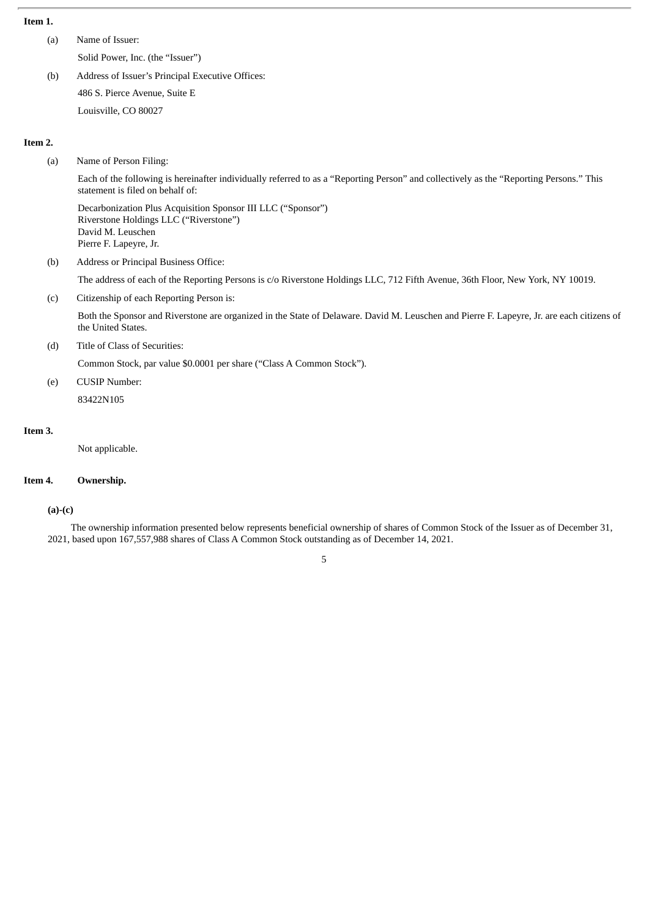#### **Item 1.**

(a) Name of Issuer: Solid Power, Inc. (the "Issuer")

(b) Address of Issuer's Principal Executive Offices: 486 S. Pierce Avenue, Suite E Louisville, CO 80027

#### **Item 2.**

(a) Name of Person Filing:

Each of the following is hereinafter individually referred to as a "Reporting Person" and collectively as the "Reporting Persons." This statement is filed on behalf of:

Decarbonization Plus Acquisition Sponsor III LLC ("Sponsor") Riverstone Holdings LLC ("Riverstone") David M. Leuschen Pierre F. Lapeyre, Jr.

(b) Address or Principal Business Office:

The address of each of the Reporting Persons is c/o Riverstone Holdings LLC, 712 Fifth Avenue, 36th Floor, New York, NY 10019.

(c) Citizenship of each Reporting Person is:

Both the Sponsor and Riverstone are organized in the State of Delaware. David M. Leuschen and Pierre F. Lapeyre, Jr. are each citizens of the United States.

(d) Title of Class of Securities:

Common Stock, par value \$0.0001 per share ("Class A Common Stock").

(e) CUSIP Number: 83422N105

#### **Item 3.**

Not applicable.

#### **Item 4. Ownership.**

#### **(a)-(c)**

The ownership information presented below represents beneficial ownership of shares of Common Stock of the Issuer as of December 31, 2021, based upon 167,557,988 shares of Class A Common Stock outstanding as of December 14, 2021.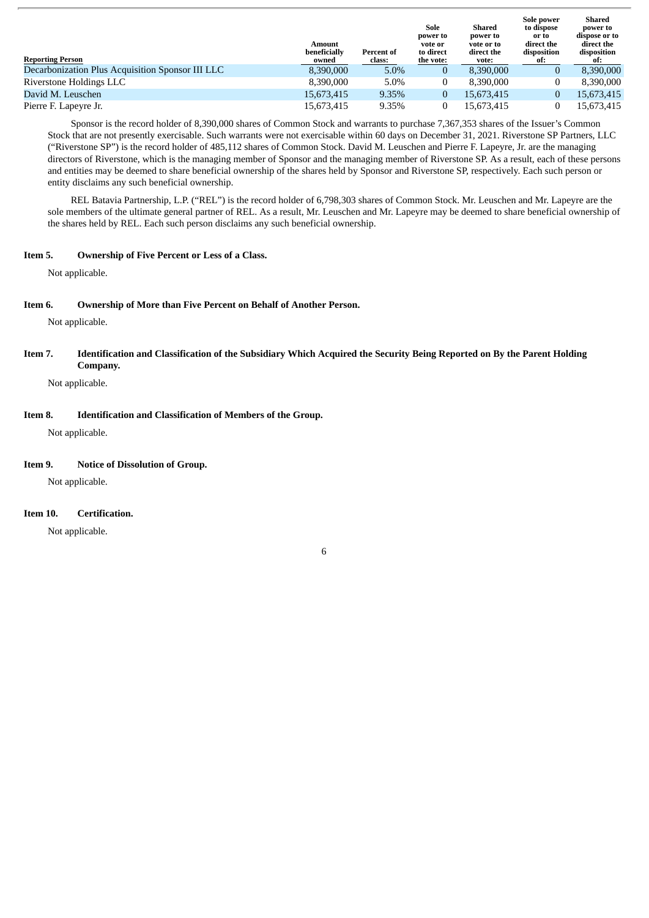|                                                  | Amount<br>beneficially | Percent of | Sole<br>power to<br>vote or<br>to direct | Shared<br>power to<br>vote or to<br>direct the | Sole power<br>to dispose<br>or to<br>direct the<br>disposition | Shared<br>power to<br>dispose or to<br>direct the<br>disposition |
|--------------------------------------------------|------------------------|------------|------------------------------------------|------------------------------------------------|----------------------------------------------------------------|------------------------------------------------------------------|
| <b>Reporting Person</b>                          | owned                  | class:     | the vote:                                | vote:                                          | ot:                                                            | ot:                                                              |
| Decarbonization Plus Acquisition Sponsor III LLC | 8.390.000              | 5.0%       | 0                                        | 8.390,000                                      | $\bf{0}$                                                       | 8,390,000                                                        |
| Riverstone Holdings LLC                          | 8.390.000              | 5.0%       |                                          | 8.390.000                                      | $\bf{0}$                                                       | 8.390.000                                                        |
| David M. Leuschen                                | 15.673.415             | 9.35%      | 0                                        | 15.673.415                                     | $\overline{0}$                                                 | 15,673,415                                                       |
| Pierre F. Lapeyre Jr.                            | 15.673.415             | 9.35%      |                                          | 15.673.415                                     |                                                                | 15,673,415                                                       |

Sponsor is the record holder of 8,390,000 shares of Common Stock and warrants to purchase 7,367,353 shares of the Issuer's Common Stock that are not presently exercisable. Such warrants were not exercisable within 60 days on December 31, 2021. Riverstone SP Partners, LLC ("Riverstone SP") is the record holder of 485,112 shares of Common Stock. David M. Leuschen and Pierre F. Lapeyre, Jr. are the managing directors of Riverstone, which is the managing member of Sponsor and the managing member of Riverstone SP. As a result, each of these persons and entities may be deemed to share beneficial ownership of the shares held by Sponsor and Riverstone SP, respectively. Each such person or entity disclaims any such beneficial ownership.

REL Batavia Partnership, L.P. ("REL") is the record holder of 6,798,303 shares of Common Stock. Mr. Leuschen and Mr. Lapeyre are the sole members of the ultimate general partner of REL. As a result, Mr. Leuschen and Mr. Lapeyre may be deemed to share beneficial ownership of the shares held by REL. Each such person disclaims any such beneficial ownership.

#### **Item 5. Ownership of Five Percent or Less of a Class.**

Not applicable.

#### **Item 6. Ownership of More than Five Percent on Behalf of Another Person.**

Not applicable.

Item 7. Identification and Classification of the Subsidiary Which Acquired the Security Being Reported on By the Parent Holding **Company.**

Not applicable.

#### **Item 8. Identification and Classification of Members of the Group.**

Not applicable.

#### **Item 9. Notice of Dissolution of Group.**

Not applicable.

#### **Item 10. Certification.**

Not applicable.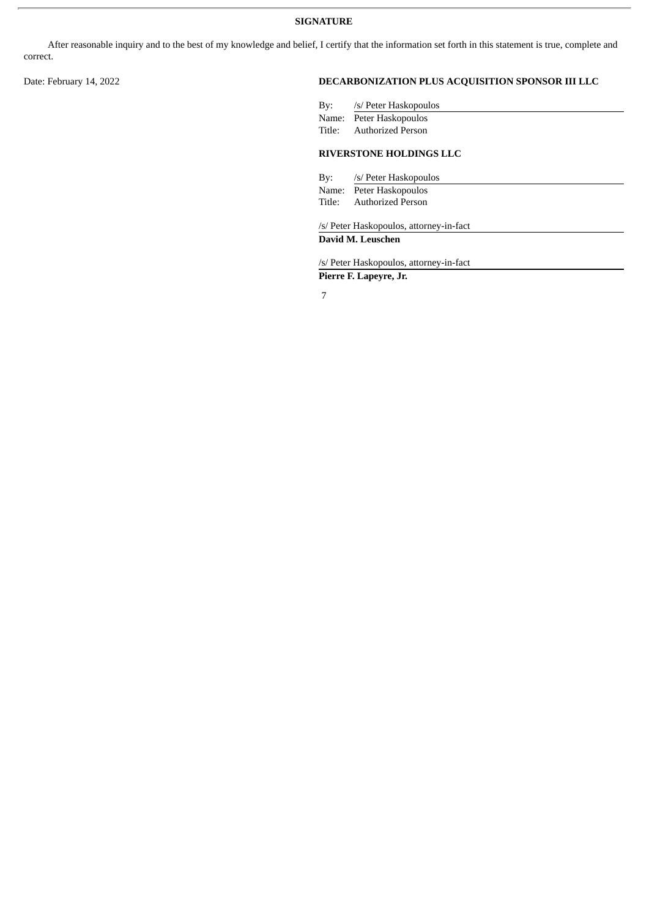After reasonable inquiry and to the best of my knowledge and belief, I certify that the information set forth in this statement is true, complete and correct.

## Date: February 14, 2022 **DECARBONIZATION PLUS ACQUISITION SPONSOR III LLC**

| By: /s/ Peter Haskopoulos      |
|--------------------------------|
| Name: Peter Haskopoulos        |
| Title: Authorized Person       |
| <b>RIVERSTONE HOLDINGS LLC</b> |

By: /s/ Peter Haskopoulos Name: Peter Haskopoulos

Title: Authorized Person

/s/ Peter Haskopoulos, attorney-in-fact

#### **David M. Leuschen**

/s/ Peter Haskopoulos, attorney-in-fact

**Pierre F. Lapeyre, Jr.**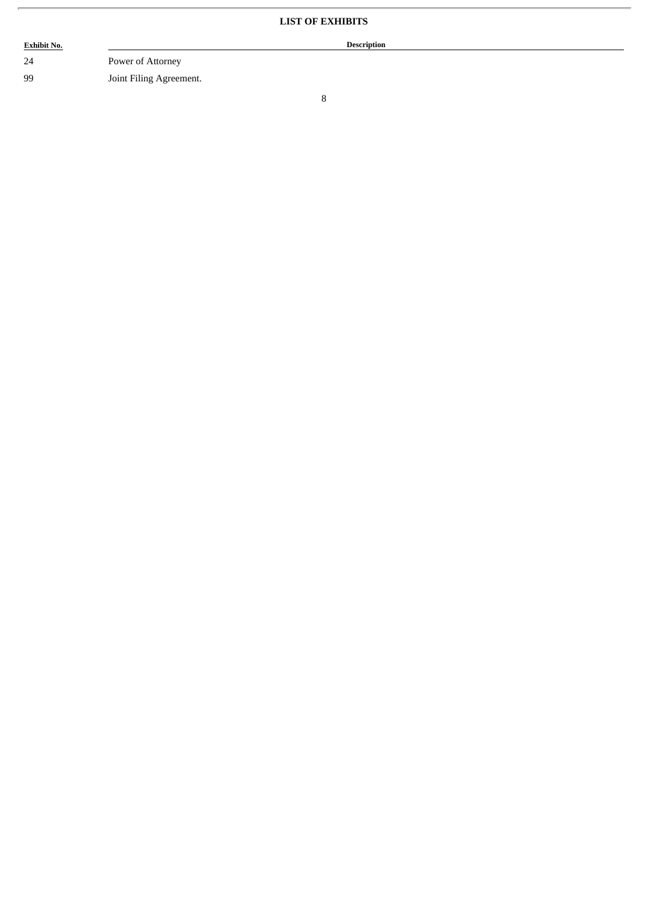# **LIST OF EXHIBITS**

| <b>Exhibit No.</b> |                         | <b>Description</b> |
|--------------------|-------------------------|--------------------|
| 24                 | Power of Attorney       |                    |
| 99                 | Joint Filing Agreement. |                    |

ł.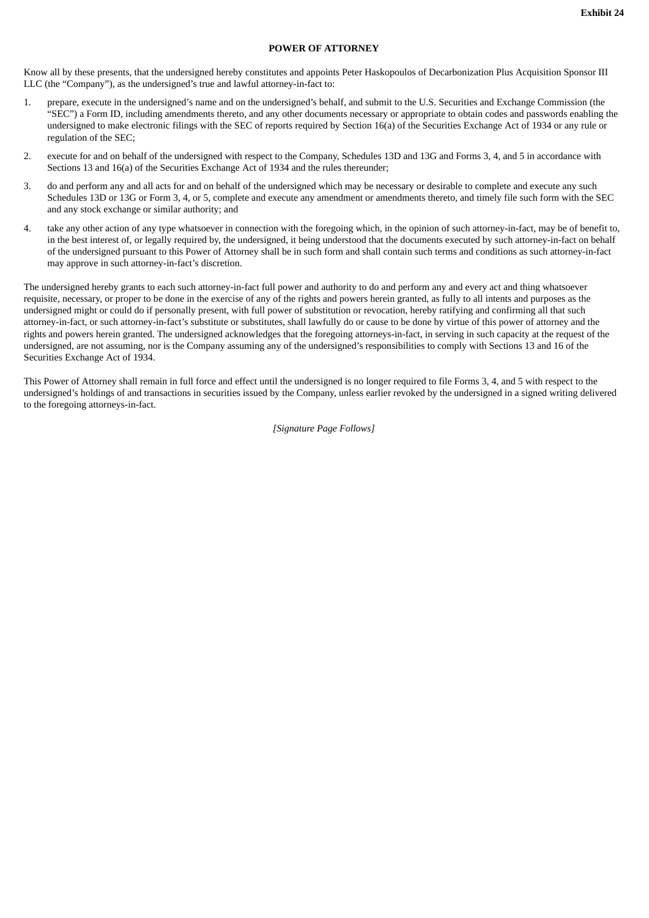#### **POWER OF ATTORNEY**

Know all by these presents, that the undersigned hereby constitutes and appoints Peter Haskopoulos of Decarbonization Plus Acquisition Sponsor III LLC (the "Company"), as the undersigned's true and lawful attorney-in-fact to:

- 1. prepare, execute in the undersigned's name and on the undersigned's behalf, and submit to the U.S. Securities and Exchange Commission (the "SEC") a Form ID, including amendments thereto, and any other documents necessary or appropriate to obtain codes and passwords enabling the undersigned to make electronic filings with the SEC of reports required by Section 16(a) of the Securities Exchange Act of 1934 or any rule or regulation of the SEC;
- 2. execute for and on behalf of the undersigned with respect to the Company, Schedules 13D and 13G and Forms 3, 4, and 5 in accordance with Sections 13 and 16(a) of the Securities Exchange Act of 1934 and the rules thereunder;
- 3. do and perform any and all acts for and on behalf of the undersigned which may be necessary or desirable to complete and execute any such Schedules 13D or 13G or Form 3, 4, or 5, complete and execute any amendment or amendments thereto, and timely file such form with the SEC and any stock exchange or similar authority; and
- 4. take any other action of any type whatsoever in connection with the foregoing which, in the opinion of such attorney-in-fact, may be of benefit to, in the best interest of, or legally required by, the undersigned, it being understood that the documents executed by such attorney-in-fact on behalf of the undersigned pursuant to this Power of Attorney shall be in such form and shall contain such terms and conditions as such attorney-in-fact may approve in such attorney-in-fact's discretion.

The undersigned hereby grants to each such attorney-in-fact full power and authority to do and perform any and every act and thing whatsoever requisite, necessary, or proper to be done in the exercise of any of the rights and powers herein granted, as fully to all intents and purposes as the undersigned might or could do if personally present, with full power of substitution or revocation, hereby ratifying and confirming all that such attorney-in-fact, or such attorney-in-fact's substitute or substitutes, shall lawfully do or cause to be done by virtue of this power of attorney and the rights and powers herein granted. The undersigned acknowledges that the foregoing attorneys-in-fact, in serving in such capacity at the request of the undersigned, are not assuming, nor is the Company assuming any of the undersigned's responsibilities to comply with Sections 13 and 16 of the Securities Exchange Act of 1934.

This Power of Attorney shall remain in full force and effect until the undersigned is no longer required to file Forms 3, 4, and 5 with respect to the undersigned's holdings of and transactions in securities issued by the Company, unless earlier revoked by the undersigned in a signed writing delivered to the foregoing attorneys-in-fact.

*[Signature Page Follows]*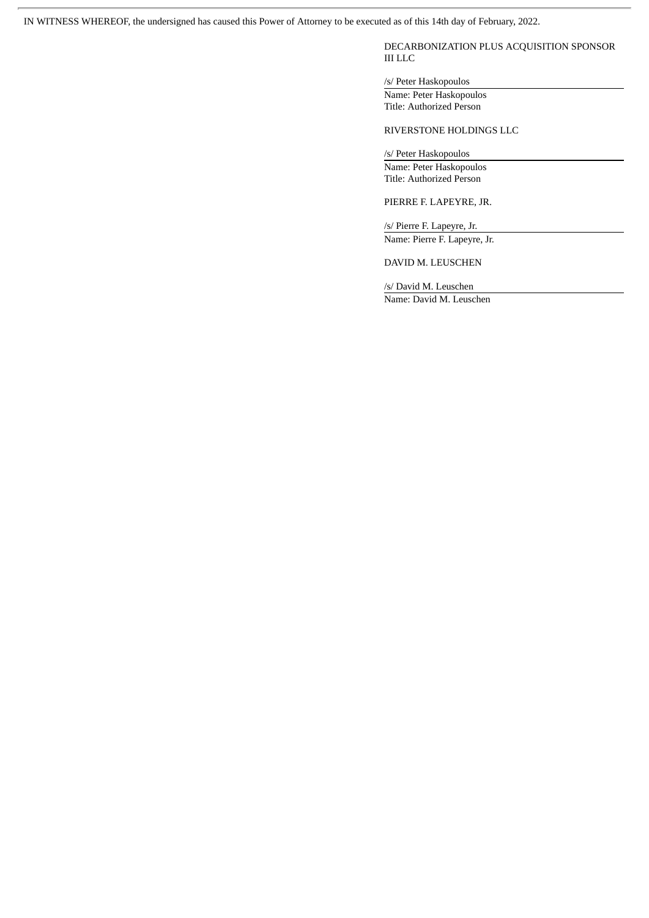IN WITNESS WHEREOF, the undersigned has caused this Power of Attorney to be executed as of this 14th day of February, 2022.

DECARBONIZATION PLUS ACQUISITION SPONSOR III LLC

/s/ Peter Haskopoulos

Name: Peter Haskopoulos Title: Authorized Person

RIVERSTONE HOLDINGS LLC

/s/ Peter Haskopoulos

Name: Peter Haskopoulos Title: Authorized Person

PIERRE F. LAPEYRE, JR.

/s/ Pierre F. Lapeyre, Jr. Name: Pierre F. Lapeyre, Jr.

DAVID M. LEUSCHEN

/s/ David M. Leuschen Name: David M. Leuschen